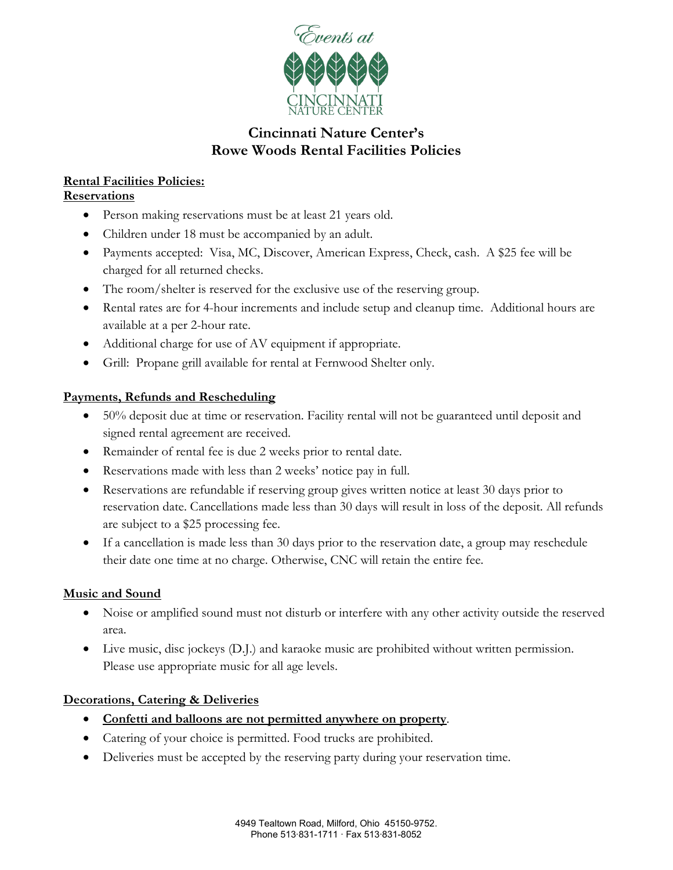

# **Cincinnati Nature Center's Rowe Woods Rental Facilities Policies**

# **Rental Facilities Policies:**

## **Reservations**

- Person making reservations must be at least 21 years old.
- Children under 18 must be accompanied by an adult.
- Payments accepted: Visa, MC, Discover, American Express, Check, cash. A \$25 fee will be charged for all returned checks.
- The room/shelter is reserved for the exclusive use of the reserving group.
- Rental rates are for 4-hour increments and include setup and cleanup time. Additional hours are available at a per 2-hour rate.
- Additional charge for use of AV equipment if appropriate.
- Grill: Propane grill available for rental at Fernwood Shelter only.

# **Payments, Refunds and Rescheduling**

- 50% deposit due at time or reservation. Facility rental will not be guaranteed until deposit and signed rental agreement are received.
- Remainder of rental fee is due 2 weeks prior to rental date.
- Reservations made with less than 2 weeks' notice pay in full.
- Reservations are refundable if reserving group gives written notice at least 30 days prior to reservation date. Cancellations made less than 30 days will result in loss of the deposit. All refunds are subject to a \$25 processing fee.
- If a cancellation is made less than 30 days prior to the reservation date, a group may reschedule their date one time at no charge. Otherwise, CNC will retain the entire fee.

# **Music and Sound**

- Noise or amplified sound must not disturb or interfere with any other activity outside the reserved area.
- Live music, disc jockeys (D.J.) and karaoke music are prohibited without written permission. Please use appropriate music for all age levels.

# **Decorations, Catering & Deliveries**

- **Confetti and balloons are not permitted anywhere on property**.
- Catering of your choice is permitted. Food trucks are prohibited.
- Deliveries must be accepted by the reserving party during your reservation time.